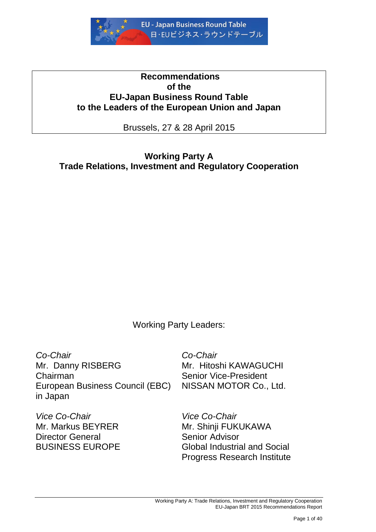

# **Recommendations of the EU-Japan Business Round Table to the Leaders of the European Union and Japan**

Brussels, 27 & 28 April 2015

**Working Party A Trade Relations, Investment and Regulatory Cooperation**

Working Party Leaders:

*Co-Chair* Mr. Danny RISBERG Chairman European Business Council (EBC) in Japan

*Vice Co-Chair* Mr. Markus BEYRER Director General BUSINESS EUROPE

*Co-Chair* Mr. Hitoshi KAWAGUCHI Senior Vice-President NISSAN MOTOR Co., Ltd.

*Vice Co-Chair* Mr. Shinji FUKUKAWA Senior Advisor Global Industrial and Social Progress Research Institute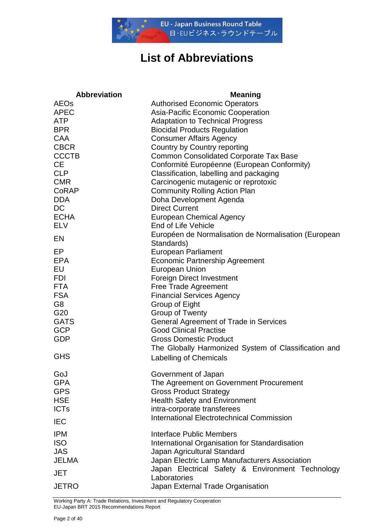

# **List of Abbreviations**

| <b>Abbreviation</b>      | <b>Meaning</b>                                                               |
|--------------------------|------------------------------------------------------------------------------|
| <b>AEOs</b>              | <b>Authorised Economic Operators</b>                                         |
| <b>APEC</b>              | Asia-Pacific Economic Cooperation                                            |
| <b>ATP</b>               | <b>Adaptation to Technical Progress</b>                                      |
| <b>BPR</b>               | <b>Biocidal Products Regulation</b>                                          |
| <b>CAA</b>               | <b>Consumer Affairs Agency</b>                                               |
| <b>CBCR</b>              | Country by Country reporting                                                 |
| <b>CCCTB</b>             | <b>Common Consolidated Corporate Tax Base</b>                                |
| <b>CE</b>                | Conformité Européenne (European Conformity)                                  |
| <b>CLP</b><br><b>CMR</b> | Classification, labelling and packaging                                      |
| CoRAP                    | Carcinogenic mutagenic or reprotoxic<br><b>Community Rolling Action Plan</b> |
| <b>DDA</b>               | Doha Development Agenda                                                      |
| <b>DC</b>                | <b>Direct Current</b>                                                        |
| <b>ECHA</b>              | <b>European Chemical Agency</b>                                              |
| <b>ELV</b>               | End of Life Vehicle                                                          |
|                          | Européen de Normalisation de Normalisation (European                         |
| EN                       | Standards)                                                                   |
| EP                       | <b>European Parliament</b>                                                   |
| <b>EPA</b>               | <b>Economic Partnership Agreement</b>                                        |
| EU                       | <b>European Union</b>                                                        |
| <b>FDI</b>               | <b>Foreign Direct Investment</b>                                             |
| <b>FTA</b>               | <b>Free Trade Agreement</b>                                                  |
| <b>FSA</b>               | <b>Financial Services Agency</b>                                             |
| G <sub>8</sub>           | Group of Eight                                                               |
| G20                      | <b>Group of Twenty</b>                                                       |
| <b>GATS</b>              | <b>General Agreement of Trade in Services</b>                                |
| <b>GCP</b>               | <b>Good Clinical Practise</b>                                                |
| <b>GDP</b>               | <b>Gross Domestic Product</b>                                                |
|                          | The Globally Harmonized System of Classification and                         |
| <b>GHS</b>               | <b>Labelling of Chemicals</b>                                                |
| GoJ                      | Government of Japan                                                          |
| <b>GPA</b>               | The Agreement on Government Procurement                                      |
| <b>GPS</b>               | <b>Gross Product Strategy</b>                                                |
| <b>HSE</b>               | <b>Health Safety and Environment</b>                                         |
| <b>ICTs</b>              | intra-corporate transferees                                                  |
| <b>IEC</b>               | <b>International Electrotechnical Commission</b>                             |
| <b>IPM</b>               | <b>Interface Public Members</b>                                              |
| <b>ISO</b>               | International Organisation for Standardisation                               |
| <b>JAS</b>               | Japan Agricultural Standard                                                  |
| <b>JELMA</b>             | Japan Electric Lamp Manufacturers Association                                |
| JET                      | Japan Electrical Safety & Environment Technology<br>Laboratories             |
| <b>JETRO</b>             | Japan External Trade Organisation                                            |

Working Party A: Trade Relations, Investment and Regulatory Cooperation EU-Japan BRT 2015 Recommendations Report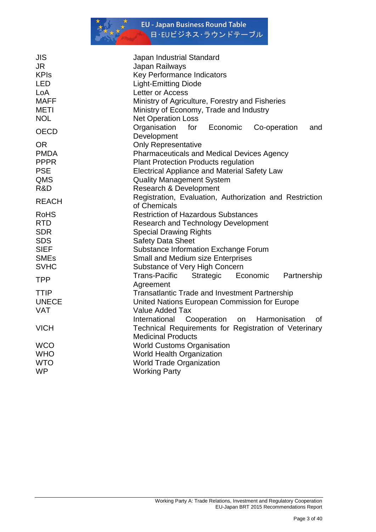

| <b>JIS</b>   | Japan Industrial Standard                                                          |
|--------------|------------------------------------------------------------------------------------|
| <b>JR</b>    | Japan Railways                                                                     |
| <b>KPIs</b>  | Key Performance Indicators                                                         |
| LED          | <b>Light-Emitting Diode</b>                                                        |
| LoA          | Letter or Access                                                                   |
| <b>MAFF</b>  | Ministry of Agriculture, Forestry and Fisheries                                    |
| <b>METI</b>  | Ministry of Economy, Trade and Industry                                            |
| <b>NOL</b>   | <b>Net Operation Loss</b>                                                          |
| <b>OECD</b>  | Organisation<br>for<br>Economic<br>Co-operation<br>and                             |
|              | Development                                                                        |
| <b>OR</b>    | <b>Only Representative</b>                                                         |
| <b>PMDA</b>  | <b>Pharmaceuticals and Medical Devices Agency</b>                                  |
| <b>PPPR</b>  | <b>Plant Protection Products regulation</b>                                        |
| <b>PSE</b>   | <b>Electrical Appliance and Material Safety Law</b>                                |
| QMS          | <b>Quality Management System</b>                                                   |
| R&D          | Research & Development                                                             |
| <b>REACH</b> | Registration, Evaluation, Authorization and Restriction                            |
|              | of Chemicals                                                                       |
| <b>RoHS</b>  | <b>Restriction of Hazardous Substances</b>                                         |
| <b>RTD</b>   | <b>Research and Technology Development</b>                                         |
| <b>SDR</b>   | <b>Special Drawing Rights</b>                                                      |
| <b>SDS</b>   | <b>Safety Data Sheet</b>                                                           |
| <b>SIEF</b>  | Substance Information Exchange Forum                                               |
| <b>SMEs</b>  | <b>Small and Medium size Enterprises</b>                                           |
| <b>SVHC</b>  | Substance of Very High Concern                                                     |
| <b>TPP</b>   | <b>Trans-Pacific</b><br>Strategic<br>Economic<br>Partnership                       |
|              | Agreement                                                                          |
| <b>TTIP</b>  | <b>Transatlantic Trade and Investment Partnership</b>                              |
| <b>UNECE</b> | United Nations European Commission for Europe                                      |
| <b>VAT</b>   | Value Added Tax                                                                    |
|              | Harmonisation<br>International<br>Cooperation<br>on<br>οf                          |
| <b>VICH</b>  | Technical Requirements for Registration of Veterinary<br><b>Medicinal Products</b> |
| <b>WCO</b>   | <b>World Customs Organisation</b>                                                  |
| <b>WHO</b>   | <b>World Health Organization</b>                                                   |
| <b>WTO</b>   | <b>World Trade Organization</b>                                                    |
|              |                                                                                    |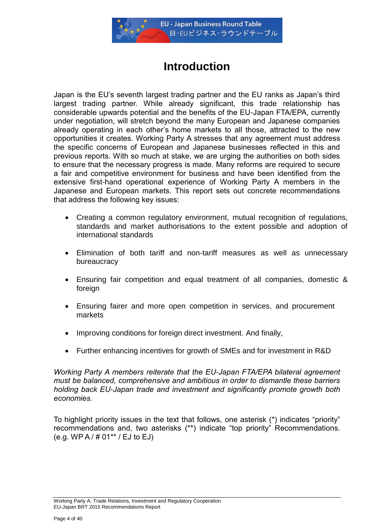

# **Introduction**

Japan is the EU"s seventh largest trading partner and the EU ranks as Japan"s third largest trading partner. While already significant, this trade relationship has considerable upwards potential and the benefits of the EU-Japan FTA/EPA, currently under negotiation, will stretch beyond the many European and Japanese companies already operating in each other"s home markets to all those, attracted to the new opportunities it creates. Working Party A stresses that any agreement must address the specific concerns of European and Japanese businesses reflected in this and previous reports. With so much at stake, we are urging the authorities on both sides to ensure that the necessary progress is made. Many reforms are required to secure a fair and competitive environment for business and have been identified from the extensive first-hand operational experience of Working Party A members in the Japanese and European markets. This report sets out concrete recommendations that address the following key issues:

- Creating a common regulatory environment, mutual recognition of regulations, standards and market authorisations to the extent possible and adoption of international standards
- Elimination of both tariff and non-tariff measures as well as unnecessary bureaucracy
- Ensuring fair competition and equal treatment of all companies, domestic & foreign
- Ensuring fairer and more open competition in services, and procurement markets
- Improving conditions for foreign direct investment. And finally,
- Further enhancing incentives for growth of SMEs and for investment in R&D

*Working Party A members reiterate that the EU-Japan FTA/EPA bilateral agreement must be balanced, comprehensive and ambitious in order to dismantle these barriers holding back EU-Japan trade and investment and significantly promote growth both economies.* 

To highlight priority issues in the text that follows, one asterisk (\*) indicates "priority" recommendations and, two asterisks (\*\*) indicate "top priority" Recommendations. (e.g. WP A / # 01\*\* / EJ to EJ)

Working Party A: Trade Relations, Investment and Regulatory Cooperation EU-Japan BRT 2015 Recommendations Report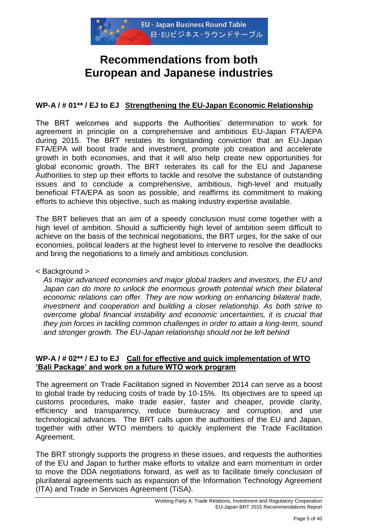

# **Recommendations from both European and Japanese industries**

# **WP-A / # 01\*\* / EJ to EJ Strengthening the EU-Japan Economic Relationship**

The BRT welcomes and supports the Authorities" determination to work for agreement in principle on a comprehensive and ambitious EU-Japan FTA/EPA during 2015. The BRT restates its longstanding conviction that an EU-Japan FTA/EPA will boost trade and investment, promote job creation and accelerate growth in both economies, and that it will also help create new opportunities for global economic growth. The BRT reiterates its call for the EU and Japanese Authorities to step up their efforts to tackle and resolve the substance of outstanding issues and to conclude a comprehensive, ambitious, high-level and mutually beneficial FTA/EPA as soon as possible, and reaffirms its commitment to making efforts to achieve this objective, such as making industry expertise available.

The BRT believes that an aim of a speedy conclusion must come together with a high level of ambition. Should a sufficiently high level of ambition seem difficult to achieve on the basis of the technical negotiations, the BRT urges, for the sake of our economies, political leaders at the highest level to intervene to resolve the deadlocks and bring the negotiations to a timely and ambitious conclusion.

## < Background >

*As major advanced economies and major global traders and investors, the EU and*  Japan can do more to unlock the enormous growth potential which their bilateral *economic relations can offer. They are now working on enhancing bilateral trade, investment and cooperation and building a closer relationship. As both strive to overcome global financial instability and economic uncertainties, it is crucial that they join forces in tackling common challenges in order to attain a long-term, sound and stronger growth. The EU-Japan relationship should not be left behind*

## **WP-A / # 02\*\* / EJ to EJ Call for effective and quick implementation of WTO 'Bali Package' and work on a future WTO work program**

The agreement on Trade Facilitation signed in November 2014 can serve as a boost to global trade by reducing costs of trade by 10-15%. Its objectives are to speed up customs procedures, make trade easier, faster and cheaper, provide clarity, efficiency and transparency, reduce bureaucracy and corruption, and use technological advances. The BRT calls upon the authorities of the EU and Japan, together with other WTO members to quickly implement the Trade Facilitation Agreement.

The BRT strongly supports the progress in these issues, and requests the authorities of the EU and Japan to further make efforts to vitalize and earn momentum in order to move the DDA negotiations forward, as well as to facilitate timely conclusion of plurilateral agreements such as expansion of the Information Technology Agreement (ITA) and Trade in Services Agreement (TiSA).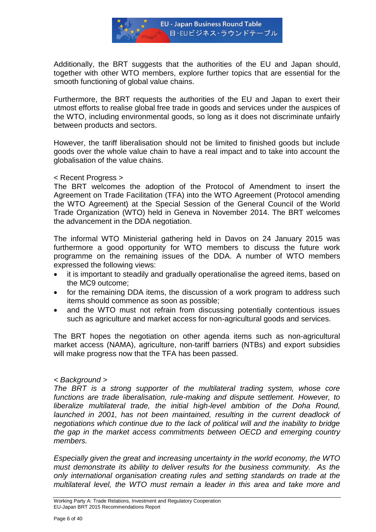

Additionally, the BRT suggests that the authorities of the EU and Japan should, together with other WTO members, explore further topics that are essential for the smooth functioning of global value chains.

Furthermore, the BRT requests the authorities of the EU and Japan to exert their utmost efforts to realise global free trade in goods and services under the auspices of the WTO, including environmental goods, so long as it does not discriminate unfairly between products and sectors.

However, the tariff liberalisation should not be limited to finished goods but include goods over the whole value chain to have a real impact and to take into account the globalisation of the value chains.

#### < Recent Progress >

The BRT welcomes the adoption of the Protocol of Amendment to insert the Agreement on Trade Facilitation (TFA) into the WTO Agreement (Protocol amending the WTO Agreement) at the Special Session of the General Council of the World Trade Organization (WTO) held in Geneva in November 2014. The BRT welcomes the advancement in the DDA negotiation.

The informal WTO Ministerial gathering held in Davos on 24 January 2015 was furthermore a good opportunity for WTO members to discuss the future work programme on the remaining issues of the DDA. A number of WTO members expressed the following views:

- it is important to steadily and gradually operationalise the agreed items, based on the MC9 outcome;
- for the remaining DDA items, the discussion of a work program to address such items should commence as soon as possible;
- and the WTO must not refrain from discussing potentially contentious issues such as agriculture and market access for non-agricultural goods and services.

The BRT hopes the negotiation on other agenda items such as non-agricultural market access (NAMA), agriculture, non-tariff barriers (NTBs) and export subsidies will make progress now that the TFA has been passed.

## *< Background >*

*The BRT is a strong supporter of the multilateral trading system, whose core functions are trade liberalisation, rule-making and dispute settlement. However, to liberalize multilateral trade, the initial high-level ambition of the Doha Round,*  launched in 2001, has not been maintained, resulting in the current deadlock of *negotiations which continue due to the lack of political will and the inability to bridge the gap in the market access commitments between OECD and emerging country members.*

*Especially given the great and increasing uncertainty in the world economy, the WTO must demonstrate its ability to deliver results for the business community. As the only international organisation creating rules and setting standards on trade at the multilateral level, the WTO must remain a leader in this area and take more and*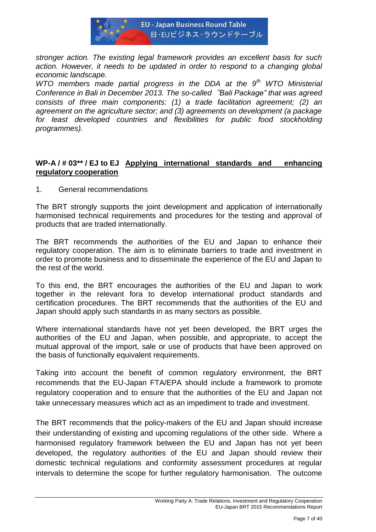

*stronger action. The existing legal framework provides an excellent basis for such action. However, it needs to be updated in order to respond to a changing global economic landscape.*

*WTO members made partial progress in the DDA at the 9th WTO Ministerial Conference in Bali in December 2013. The so-called*"*Bali Package" that was agreed consists of three main components: (1) a trade facilitation agreement; (2) an agreement on the agriculture sector; and (3) agreements on development (a package*  for least developed countries and flexibilities for public food stockholding *programmes).* 

# **WP-A / # 03\*\* / EJ to EJ Applying international standards and enhancing regulatory cooperation**

1. General recommendations

The BRT strongly supports the joint development and application of internationally harmonised technical requirements and procedures for the testing and approval of products that are traded internationally.

The BRT recommends the authorities of the EU and Japan to enhance their regulatory cooperation. The aim is to eliminate barriers to trade and investment in order to promote business and to disseminate the experience of the EU and Japan to the rest of the world.

To this end, the BRT encourages the authorities of the EU and Japan to work together in the relevant fora to develop international product standards and certification procedures. The BRT recommends that the authorities of the EU and Japan should apply such standards in as many sectors as possible.

Where international standards have not yet been developed, the BRT urges the authorities of the EU and Japan, when possible, and appropriate, to accept the mutual approval of the import, sale or use of products that have been approved on the basis of functionally equivalent requirements.

Taking into account the benefit of common regulatory environment, the BRT recommends that the EU-Japan FTA/EPA should include a framework to promote regulatory cooperation and to ensure that the authorities of the EU and Japan not take unnecessary measures which act as an impediment to trade and investment.

The BRT recommends that the policy-makers of the EU and Japan should increase their understanding of existing and upcoming regulations of the other side. Where a harmonised regulatory framework between the EU and Japan has not yet been developed, the regulatory authorities of the EU and Japan should review their domestic technical regulations and conformity assessment procedures at regular intervals to determine the scope for further regulatory harmonisation. The outcome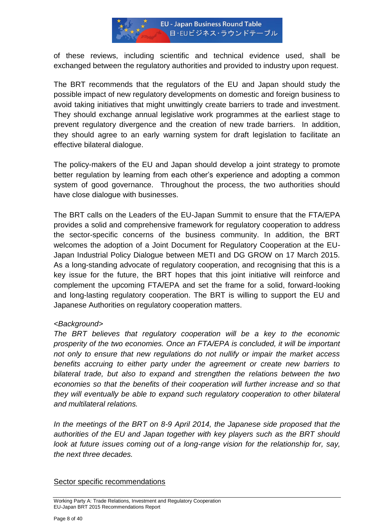

of these reviews, including scientific and technical evidence used, shall be exchanged between the regulatory authorities and provided to industry upon request.

The BRT recommends that the regulators of the EU and Japan should study the possible impact of new regulatory developments on domestic and foreign business to avoid taking initiatives that might unwittingly create barriers to trade and investment. They should exchange annual legislative work programmes at the earliest stage to prevent regulatory divergence and the creation of new trade barriers. In addition, they should agree to an early warning system for draft legislation to facilitate an effective bilateral dialogue.

The policy-makers of the EU and Japan should develop a joint strategy to promote better regulation by learning from each other"s experience and adopting a common system of good governance. Throughout the process, the two authorities should have close dialogue with businesses.

The BRT calls on the Leaders of the EU-Japan Summit to ensure that the FTA/EPA provides a solid and comprehensive framework for regulatory cooperation to address the sector-specific concerns of the business community. In addition, the BRT welcomes the adoption of a Joint Document for Regulatory Cooperation at the EU-Japan Industrial Policy Dialogue between METI and DG GROW on 17 March 2015. As a long-standing advocate of regulatory cooperation, and recognising that this is a key issue for the future, the BRT hopes that this joint initiative will reinforce and complement the upcoming FTA/EPA and set the frame for a solid, forward-looking and long-lasting regulatory cooperation. The BRT is willing to support the EU and Japanese Authorities on regulatory cooperation matters.

## *<Background>*

*The BRT believes that regulatory cooperation will be a key to the economic prosperity of the two economies. Once an FTA/EPA is concluded, it will be important not only to ensure that new regulations do not nullify or impair the market access benefits accruing to either party under the agreement or create new barriers to bilateral trade, but also to expand and strengthen the relations between the two economies so that the benefits of their cooperation will further increase and so that they will eventually be able to expand such regulatory cooperation to other bilateral and multilateral relations.* 

*In the meetings of the BRT on 8-9 April 2014, the Japanese side proposed that the authorities of the EU and Japan together with key players such as the BRT should look at future issues coming out of a long-range vision for the relationship for, say, the next three decades.*

## Sector specific recommendations

Working Party A: Trade Relations, Investment and Regulatory Cooperation EU-Japan BRT 2015 Recommendations Report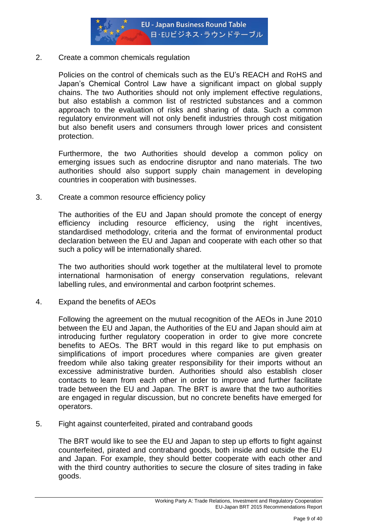

## 2. Create a common chemicals regulation

Policies on the control of chemicals such as the EU"s REACH and RoHS and Japan"s Chemical Control Law have a significant impact on global supply chains. The two Authorities should not only implement effective regulations, but also establish a common list of restricted substances and a common approach to the evaluation of risks and sharing of data. Such a common regulatory environment will not only benefit industries through cost mitigation but also benefit users and consumers through lower prices and consistent protection.

Furthermore, the two Authorities should develop a common policy on emerging issues such as endocrine disruptor and nano materials. The two authorities should also support supply chain management in developing countries in cooperation with businesses.

3. Create a common resource efficiency policy

The authorities of the EU and Japan should promote the concept of energy efficiency including resource efficiency, using the right incentives, standardised methodology, criteria and the format of environmental product declaration between the EU and Japan and cooperate with each other so that such a policy will be internationally shared.

The two authorities should work together at the multilateral level to promote international harmonisation of energy conservation regulations, relevant labelling rules, and environmental and carbon footprint schemes.

4. Expand the benefits of AEOs

Following the agreement on the mutual recognition of the AEOs in June 2010 between the EU and Japan, the Authorities of the EU and Japan should aim at introducing further regulatory cooperation in order to give more concrete benefits to AEOs. The BRT would in this regard like to put emphasis on simplifications of import procedures where companies are given greater freedom while also taking greater responsibility for their imports without an excessive administrative burden. Authorities should also establish closer contacts to learn from each other in order to improve and further facilitate trade between the EU and Japan. The BRT is aware that the two authorities are engaged in regular discussion, but no concrete benefits have emerged for operators.

5. Fight against counterfeited, pirated and contraband goods

The BRT would like to see the EU and Japan to step up efforts to fight against counterfeited, pirated and contraband goods, both inside and outside the EU and Japan. For example, they should better cooperate with each other and with the third country authorities to secure the closure of sites trading in fake goods.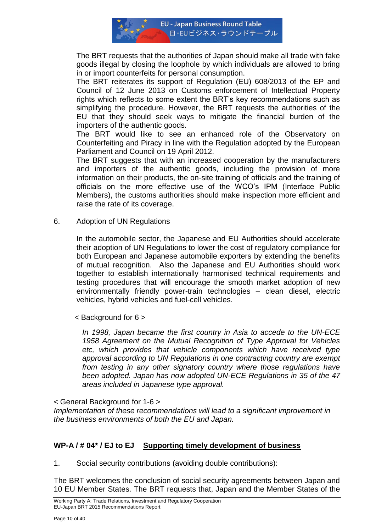

The BRT requests that the authorities of Japan should make all trade with fake goods illegal by closing the loophole by which individuals are allowed to bring in or import counterfeits for personal consumption.

The BRT reiterates its support of Regulation (EU) 608/2013 of the EP and Council of 12 June 2013 on Customs enforcement of Intellectual Property rights which reflects to some extent the BRT"s key recommendations such as simplifying the procedure. However, the BRT requests the authorities of the EU that they should seek ways to mitigate the financial burden of the importers of the authentic goods.

The BRT would like to see an enhanced role of the Observatory on Counterfeiting and Piracy in line with the Regulation adopted by the European Parliament and Council on 19 April 2012.

The BRT suggests that with an increased cooperation by the manufacturers and importers of the authentic goods, including the provision of more information on their products, the on-site training of officials and the training of officials on the more effective use of the WCO"s IPM (Interface Public Members), the customs authorities should make inspection more efficient and raise the rate of its coverage.

6. Adoption of UN Regulations

In the automobile sector, the Japanese and EU Authorities should accelerate their adoption of UN Regulations to lower the cost of regulatory compliance for both European and Japanese automobile exporters by extending the benefits of mutual recognition. Also the Japanese and EU Authorities should work together to establish internationally harmonised technical requirements and testing procedures that will encourage the smooth market adoption of new environmentally friendly power-train technologies – clean diesel, electric vehicles, hybrid vehicles and fuel-cell vehicles.

< Background for 6 >

*In 1998, Japan became the first country in Asia to accede to the UN-ECE 1958 Agreement on the Mutual Recognition of Type Approval for Vehicles etc, which provides that vehicle components which have received type approval according to UN Regulations in one contracting country are exempt from testing in any other signatory country where those regulations have been adopted. Japan has now adopted UN-ECE Regulations in 35 of the 47 areas included in Japanese type approval.*

< General Background for 1-6 >

*Implementation of these recommendations will lead to a significant improvement in the business environments of both the EU and Japan.* 

# **WP-A / # 04\* / EJ to EJ Supporting timely development of business**

1. Social security contributions (avoiding double contributions):

The BRT welcomes the conclusion of social security agreements between Japan and 10 EU Member States. The BRT requests that, Japan and the Member States of the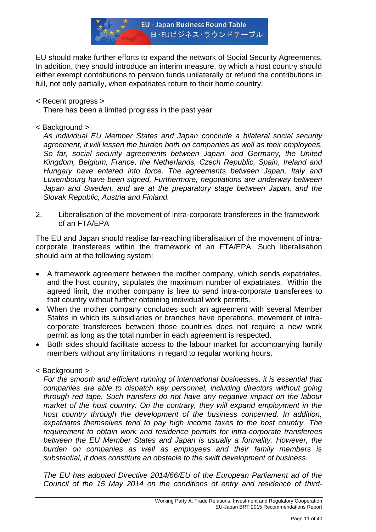

EU should make further efforts to expand the network of Social Security Agreements. In addition, they should introduce an interim measure, by which a host country should either exempt contributions to pension funds unilaterally or refund the contributions in full, not only partially, when expatriates return to their home country.

## < Recent progress >

There has been a limited progress in the past year

# < Background >

*As individual EU Member States and Japan conclude a bilateral social security agreement, it will lessen the burden both on companies as well as their employees. So far, social security agreements between Japan, and Germany, the United Kingdom, Belgium, France, the Netherlands, Czech Republic, Spain, Ireland and Hungary have entered into force. The agreements between Japan, Italy and Luxembourg have been signed. Furthermore, negotiations are underway between Japan and Sweden, and are at the preparatory stage between Japan, and the Slovak Republic, Austria and Finland.* 

2. Liberalisation of the movement of intra-corporate transferees in the framework of an FTA/EPA

The EU and Japan should realise far-reaching liberalisation of the movement of intracorporate transferees within the framework of an FTA/EPA. Such liberalisation should aim at the following system:

- A framework agreement between the mother company, which sends expatriates, and the host country, stipulates the maximum number of expatriates. Within the agreed limit, the mother company is free to send intra-corporate transferees to that country without further obtaining individual work permits.
- When the mother company concludes such an agreement with several Member States in which its subsidiaries or branches have operations, movement of intracorporate transferees between those countries does not require a new work permit as long as the total number in each agreement is respected.
- Both sides should facilitate access to the labour market for accompanying family members without any limitations in regard to regular working hours.

# < Background >

*For the smooth and efficient running of international businesses, it is essential that companies are able to dispatch key personnel, including directors without going through red tape. Such transfers do not have any negative impact on the labour market of the host country. On the contrary, they will expand employment in the host country through the development of the business concerned. In addition, expatriates themselves tend to pay high income taxes to the host country. The requirement to obtain work and residence permits for intra-corporate transferees between the EU Member States and Japan is usually a formality. However, the burden on companies as well as employees and their family members is substantial, it does constitute an obstacle to the swift development of business.*

*The EU has adopted Directive 2014/66/EU of the European Parliament ad of the Council of the 15 May 2014 on the conditions of entry and residence of third-*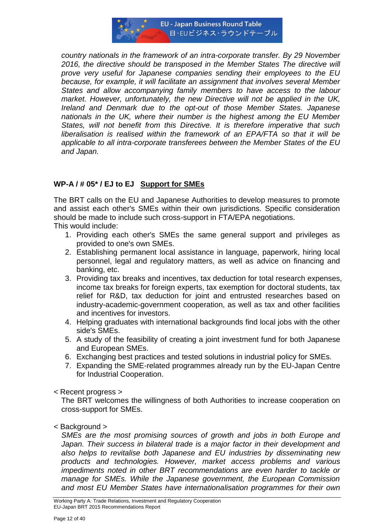

*country nationals in the framework of an intra-corporate transfer. By 29 November 2016, the directive should be transposed in the Member States The directive will prove very useful for Japanese companies sending their employees to the EU because, for example, it will facilitate an assignment that involves several Member States and allow accompanying family members to have access to the labour market. However, unfortunately, the new Directive will not be applied in the UK, Ireland and Denmark due to the opt-out of those Member States. Japanese nationals in the UK, where their number is the highest among the EU Member States, will not benefit from this Directive. It is therefore imperative that such liberalisation is realised within the framework of an EPA/FTA so that it will be applicable to all intra-corporate transferees between the Member States of the EU and Japan.*

# **WP-A / # 05\* / EJ to EJ Support for SMEs**

The BRT calls on the EU and Japanese Authorities to develop measures to promote and assist each other's SMEs within their own jurisdictions. Specific consideration should be made to include such cross-support in FTA/EPA negotiations.

This would include:

- 1. Providing each other's SMEs the same general support and privileges as provided to one's own SMEs.
- 2. Establishing permanent local assistance in language, paperwork, hiring local personnel, legal and regulatory matters, as well as advice on financing and banking, etc.
- 3. Providing tax breaks and incentives, tax deduction for total research expenses, income tax breaks for foreign experts, tax exemption for doctoral students, tax relief for R&D, tax deduction for joint and entrusted researches based on industry-academic-government cooperation, as well as tax and other facilities and incentives for investors.
- 4. Helping graduates with international backgrounds find local jobs with the other side's SMEs.
- 5. A study of the feasibility of creating a joint investment fund for both Japanese and European SMEs.
- 6. Exchanging best practices and tested solutions in industrial policy for SMEs.
- 7. Expanding the SME-related programmes already run by the EU-Japan Centre for Industrial Cooperation.
- < Recent progress >

The BRT welcomes the willingness of both Authorities to increase cooperation on cross-support for SMEs.

< Background >

*SMEs are the most promising sources of growth and jobs in both Europe and*  Japan. Their success in bilateral trade is a major factor in their development and *also helps to revitalise both Japanese and EU industries by disseminating new products and technologies. However, market access problems and various impediments noted in other BRT recommendations are even harder to tackle or manage for SMEs. While the Japanese government, the European Commission and most EU Member States have internationalisation programmes for their own*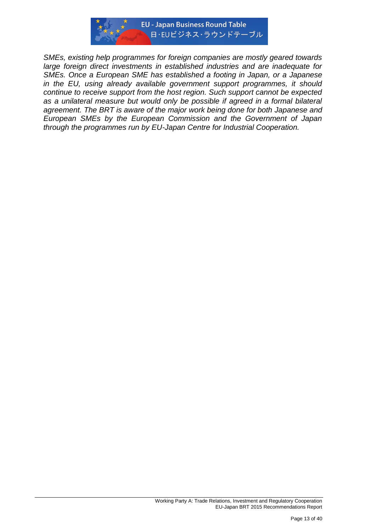

*SMEs, existing help programmes for foreign companies are mostly geared towards large foreign direct investments in established industries and are inadequate for SMEs. Once a European SME has established a footing in Japan, or a Japanese in the EU, using already available government support programmes, it should continue to receive support from the host region. Such support cannot be expected*  as a unilateral measure but would only be possible if agreed in a formal bilateral *agreement. The BRT is aware of the major work being done for both Japanese and European SMEs by the European Commission and the Government of Japan through the programmes run by EU-Japan Centre for Industrial Cooperation.*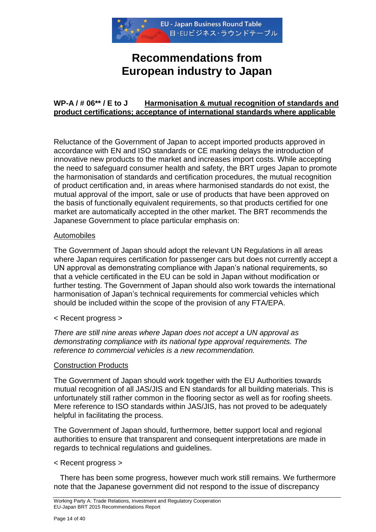

# **Recommendations from European industry to Japan**

# **WP-A / # 06\*\* / E to J Harmonisation & mutual recognition of standards and product certifications; acceptance of international standards where applicable**

Reluctance of the Government of Japan to accept imported products approved in accordance with EN and ISO standards or CE marking delays the introduction of innovative new products to the market and increases import costs. While accepting the need to safeguard consumer health and safety, the BRT urges Japan to promote the harmonisation of standards and certification procedures, the mutual recognition of product certification and, in areas where harmonised standards do not exist, the mutual approval of the import, sale or use of products that have been approved on the basis of functionally equivalent requirements, so that products certified for one market are automatically accepted in the other market. The BRT recommends the Japanese Government to place particular emphasis on:

## Automobiles

The Government of Japan should adopt the relevant UN Regulations in all areas where Japan requires certification for passenger cars but does not currently accept a UN approval as demonstrating compliance with Japan"s national requirements, so that a vehicle certificated in the EU can be sold in Japan without modification or further testing. The Government of Japan should also work towards the international harmonisation of Japan"s technical requirements for commercial vehicles which should be included within the scope of the provision of any FTA/EPA.

< Recent progress >

*There are still nine areas where Japan does not accept a UN approval as demonstrating compliance with its national type approval requirements. The reference to commercial vehicles is a new recommendation.*

#### Construction Products

The Government of Japan should work together with the EU Authorities towards mutual recognition of all JAS/JIS and EN standards for all building materials. This is unfortunately still rather common in the flooring sector as well as for roofing sheets. Mere reference to ISO standards within JAS/JIS, has not proved to be adequately helpful in facilitating the process.

The Government of Japan should, furthermore, better support local and regional authorities to ensure that transparent and consequent interpretations are made in regards to technical regulations and guidelines.

#### < Recent progress >

 There has been some progress, however much work still remains. We furthermore note that the Japanese government did not respond to the issue of discrepancy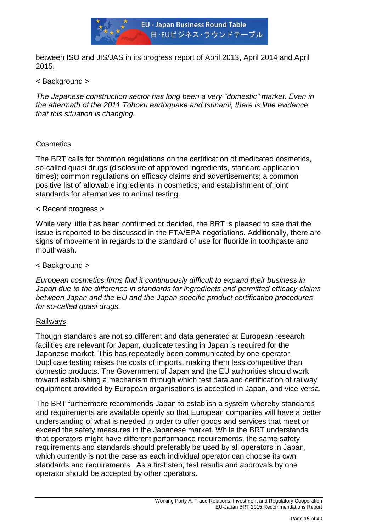

between ISO and JIS/JAS in its progress report of April 2013, April 2014 and April 2015.

< Background >

*The Japanese construction sector has long been a very "domestic" market. Even in the aftermath of the 2011 Tohoku earthquake and tsunami, there is little evidence that this situation is changing.* 

# **Cosmetics**

The BRT calls for common regulations on the certification of medicated cosmetics, so-called quasi drugs (disclosure of approved ingredients, standard application times); common regulations on efficacy claims and advertisements; a common positive list of allowable ingredients in cosmetics; and establishment of joint standards for alternatives to animal testing.

## < Recent progress >

While very little has been confirmed or decided, the BRT is pleased to see that the issue is reported to be discussed in the FTA/EPA negotiations. Additionally, there are signs of movement in regards to the standard of use for fluoride in toothpaste and mouthwash.

## < Background >

*European cosmetics firms find it continuously difficult to expand their business in Japan due to the difference in standards for ingredients and permitted efficacy claims between Japan and the EU and the Japan-specific product certification procedures for so-called quasi drugs.*

## Railways

Though standards are not so different and data generated at European research facilities are relevant for Japan, duplicate testing in Japan is required for the Japanese market. This has repeatedly been communicated by one operator. Duplicate testing raises the costs of imports, making them less competitive than domestic products. The Government of Japan and the EU authorities should work toward establishing a mechanism through which test data and certification of railway equipment provided by European organisations is accepted in Japan, and vice versa.

The BRT furthermore recommends Japan to establish a system whereby standards and requirements are available openly so that European companies will have a better understanding of what is needed in order to offer goods and services that meet or exceed the safety measures in the Japanese market. While the BRT understands that operators might have different performance requirements, the same safety requirements and standards should preferably be used by all operators in Japan, which currently is not the case as each individual operator can choose its own standards and requirements. As a first step, test results and approvals by one operator should be accepted by other operators.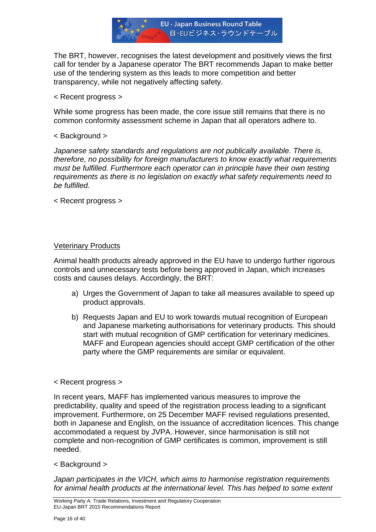

The BRT, however, recognises the latest development and positively views the first call for tender by a Japanese operator The BRT recommends Japan to make better use of the tendering system as this leads to more competition and better transparency, while not negatively affecting safety.

< Recent progress >

While some progress has been made, the core issue still remains that there is no common conformity assessment scheme in Japan that all operators adhere to.

< Background >

*Japanese safety standards and regulations are not publically available. There is, therefore, no possibility for foreign manufacturers to know exactly what requirements must be fulfilled. Furthermore each operator can in principle have their own testing requirements as there is no legislation on exactly what safety requirements need to be fulfilled.*

< Recent progress >

#### Veterinary Products

Animal health products already approved in the EU have to undergo further rigorous controls and unnecessary tests before being approved in Japan, which increases costs and causes delays. Accordingly, the BRT:

- a) Urges the Government of Japan to take all measures available to speed up product approvals.
- b) Requests Japan and EU to work towards mutual recognition of European and Japanese marketing authorisations for veterinary products. This should start with mutual recognition of GMP certification for veterinary medicines. MAFF and European agencies should accept GMP certification of the other party where the GMP requirements are similar or equivalent.

#### < Recent progress >

In recent years, MAFF has implemented various measures to improve the predictability, quality and speed of the registration process leading to a significant improvement. Furthermore, on 25 December MAFF revised regulations presented, both in Japanese and English, on the issuance of accreditation licences. This change accommodated a request by JVPA. However, since harmonisation is still not complete and non-recognition of GMP certificates is common, improvement is still needed.

< Background >

*Japan participates in the VICH, which aims to harmonise registration requirements*  for animal health products at the international level. This has helped to some extent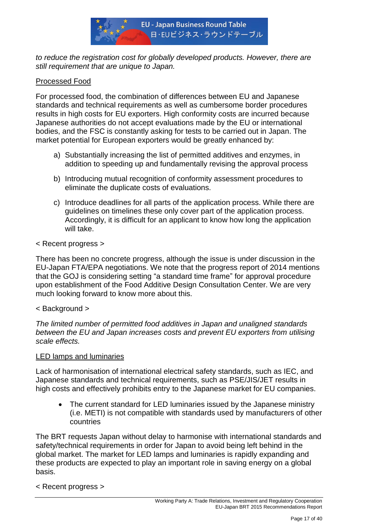

to reduce the registration cost for globally developed products. However, there are *still requirement that are unique to Japan.*

# Processed Food

For processed food, the combination of differences between EU and Japanese standards and technical requirements as well as cumbersome border procedures results in high costs for EU exporters. High conformity costs are incurred because Japanese authorities do not accept evaluations made by the EU or international bodies, and the FSC is constantly asking for tests to be carried out in Japan. The market potential for European exporters would be greatly enhanced by:

- a) Substantially increasing the list of permitted additives and enzymes, in addition to speeding up and fundamentally revising the approval process
- b) Introducing mutual recognition of conformity assessment procedures to eliminate the duplicate costs of evaluations.
- c) Introduce deadlines for all parts of the application process. While there are guidelines on timelines these only cover part of the application process. Accordingly, it is difficult for an applicant to know how long the application will take.
- < Recent progress >

There has been no concrete progress, although the issue is under discussion in the EU-Japan FTA/EPA negotiations. We note that the progress report of 2014 mentions that the GOJ is considering setting "a standard time frame" for approval procedure upon establishment of the Food Additive Design Consultation Center. We are very much looking forward to know more about this.

## < Background >

*The limited number of permitted food additives in Japan and unaligned standards between the EU and Japan increases costs and prevent EU exporters from utilising scale effects.*

#### LED lamps and luminaries

Lack of harmonisation of international electrical safety standards, such as IEC, and Japanese standards and technical requirements, such as PSE/JIS/JET results in high costs and effectively prohibits entry to the Japanese market for EU companies.

 The current standard for LED luminaries issued by the Japanese ministry (i.e. METI) is not compatible with standards used by manufacturers of other countries

The BRT requests Japan without delay to harmonise with international standards and safety/technical requirements in order for Japan to avoid being left behind in the global market. The market for LED lamps and luminaries is rapidly expanding and these products are expected to play an important role in saving energy on a global basis.

< Recent progress >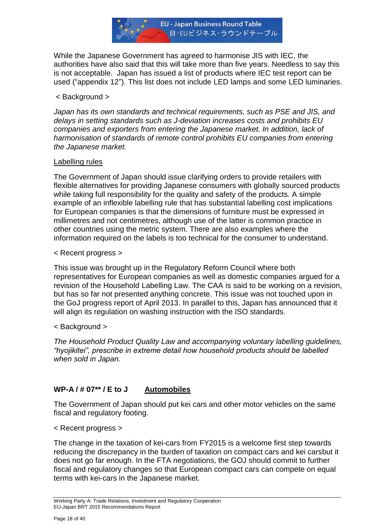

While the Japanese Government has agreed to harmonise JIS with IEC, the authorities have also said that this will take more than five years. Needless to say this is not acceptable. Japan has issued a list of products where IEC test report can be used ("appendix 12"). This list does not include LED lamps and some LED luminaries.

#### < Background >

*Japan has its own standards and technical requirements, such as PSE and JIS, and delays in setting standards such as J-deviation increases costs and prohibits EU companies and exporters from entering the Japanese market. In addition, lack of harmonisation of standards of remote control prohibits EU companies from entering the Japanese market.*

#### Labelling rules

The Government of Japan should issue clarifying orders to provide retailers with flexible alternatives for providing Japanese consumers with globally sourced products while taking full responsibility for the quality and safety of the products. A simple example of an inflexible labelling rule that has substantial labelling cost implications for European companies is that the dimensions of furniture must be expressed in millimetres and not centimetres, although use of the latter is common practice in other countries using the metric system. There are also examples where the information required on the labels is too technical for the consumer to understand.

< Recent progress >

This issue was brought up in the Regulatory Reform Council where both representatives for European companies as well as domestic companies argued for a revision of the Household Labelling Law. The CAA is said to be working on a revision, but has so far not presented anything concrete. This issue was not touched upon in the GoJ progress report of April 2013. In parallel to this, Japan has announced that it will align its regulation on washing instruction with the ISO standards.

## < Background >

*The Household Product Quality Law and accompanying voluntary labelling guidelines, "hyojikitei", prescribe in extreme detail how household products should be labelled when sold in Japan.*

# **WP-A / # 07\*\* / E to J Automobiles**

The Government of Japan should put kei cars and other motor vehicles on the same fiscal and regulatory footing.

< Recent progress >

The change in the taxation of kei-cars from FY2015 is a welcome first step towards reducing the discrepancy in the burden of taxation on compact cars and kei carsbut it does not go far enough. In the FTA negotiations, the GOJ should commit to further fiscal and regulatory changes so that European compact cars can compete on equal terms with kei-cars in the Japanese market.

Working Party A: Trade Relations, Investment and Regulatory Cooperation EU-Japan BRT 2015 Recommendations Report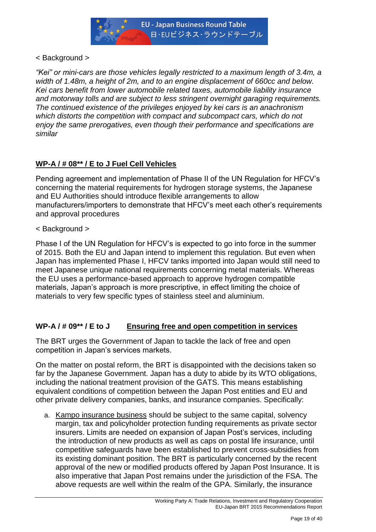

# < Background >

*"Kei" or mini-cars are those vehicles legally restricted to a maximum length of 3.4m, a width of 1.48m, a height of 2m, and to an engine displacement of 660cc and below. Kei cars benefit from lower automobile related taxes, automobile liability insurance and motorway tolls and are subject to less stringent overnight garaging requirements. The continued existence of the privileges enjoyed by kei cars is an anachronism which distorts the competition with compact and subcompact cars, which do not enjoy the same prerogatives, even though their performance and specifications are similar*

# **WP-A / # 08\*\* / E to J Fuel Cell Vehicles**

Pending agreement and implementation of Phase II of the UN Regulation for HFCV"s concerning the material requirements for hydrogen storage systems, the Japanese and EU Authorities should introduce flexible arrangements to allow manufacturers/importers to demonstrate that HFCV"s meet each other"s requirements and approval procedures

# < Background >

Phase I of the UN Regulation for HFCV"s is expected to go into force in the summer of 2015. Both the EU and Japan intend to implement this regulation. But even when Japan has implemented Phase I, HFCV tanks imported into Japan would still need to meet Japanese unique national requirements concerning metal materials. Whereas the EU uses a performance-based approach to approve hydrogen compatible materials, Japan's approach is more prescriptive, in effect limiting the choice of materials to very few specific types of stainless steel and aluminium.

# **WP-A / # 09\*\* / E to J Ensuring free and open competition in services**

The BRT urges the Government of Japan to tackle the lack of free and open competition in Japan"s services markets.

On the matter on postal reform, the BRT is disappointed with the decisions taken so far by the Japanese Government. Japan has a duty to abide by its WTO obligations, including the national treatment provision of the GATS. This means establishing equivalent conditions of competition between the Japan Post entities and EU and other private delivery companies, banks, and insurance companies. Specifically:

a. Kampo insurance business should be subject to the same capital, solvency margin, tax and policyholder protection funding requirements as private sector insurers. Limits are needed on expansion of Japan Post"s services, including the introduction of new products as well as caps on postal life insurance, until competitive safeguards have been established to prevent cross-subsidies from its existing dominant position. The BRT is particularly concerned by the recent approval of the new or modified products offered by Japan Post Insurance. It is also imperative that Japan Post remains under the jurisdiction of the FSA. The above requests are well within the realm of the GPA. Similarly, the insurance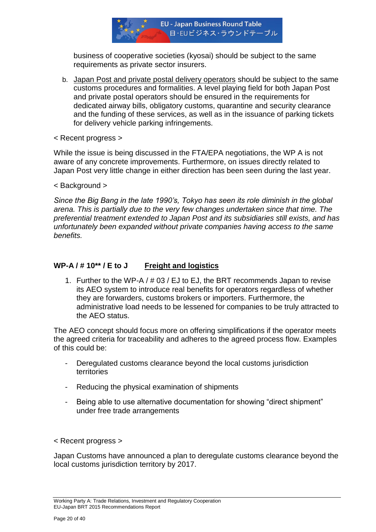

business of cooperative societies (kyosai) should be subject to the same requirements as private sector insurers.

- b. Japan Post and private postal delivery operators should be subject to the same customs procedures and formalities. A level playing field for both Japan Post and private postal operators should be ensured in the requirements for dedicated airway bills, obligatory customs, quarantine and security clearance and the funding of these services, as well as in the issuance of parking tickets for delivery vehicle parking infringements.
- < Recent progress >

While the issue is being discussed in the FTA/EPA negotiations, the WP A is not aware of any concrete improvements. Furthermore, on issues directly related to Japan Post very little change in either direction has been seen during the last year.

< Background >

*Since the Big Bang in the late 1990"s, Tokyo has seen its role diminish in the global arena. This is partially due to the very few changes undertaken since that time. The preferential treatment extended to Japan Post and its subsidiaries still exists, and has unfortunately been expanded without private companies having access to the same benefits.*

# **WP-A / # 10\*\* / E to J Freight and logistics**

1. Further to the WP-A / # 03 / EJ to EJ, the BRT recommends Japan to revise its AEO system to introduce real benefits for operators regardless of whether they are forwarders, customs brokers or importers. Furthermore, the administrative load needs to be lessened for companies to be truly attracted to the AEO status.

The AEO concept should focus more on offering simplifications if the operator meets the agreed criteria for traceability and adheres to the agreed process flow. Examples of this could be:

- Deregulated customs clearance beyond the local customs jurisdiction territories
- Reducing the physical examination of shipments
- Being able to use alternative documentation for showing "direct shipment" under free trade arrangements

< Recent progress >

Japan Customs have announced a plan to deregulate customs clearance beyond the local customs jurisdiction territory by 2017.

Working Party A: Trade Relations, Investment and Regulatory Cooperation EU-Japan BRT 2015 Recommendations Report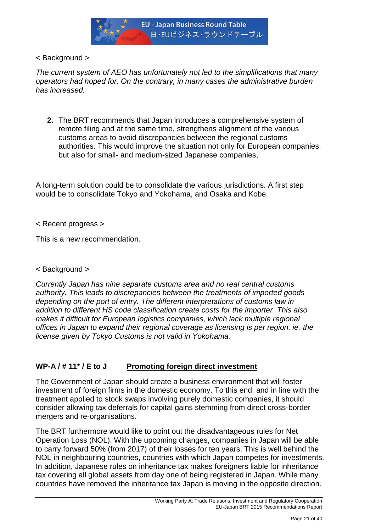

< Background >

*The current system of AEO has unfortunately not led to the simplifications that many operators had hoped for. On the contrary, in many cases the administrative burden has increased.*

**2.** The BRT recommends that Japan introduces a comprehensive system of remote filing and at the same time, strengthens alignment of the various customs areas to avoid discrepancies between the regional customs authorities. This would improve the situation not only for European companies, but also for small- and medium-sized Japanese companies,

A long-term solution could be to consolidate the various jurisdictions. A first step would be to consolidate Tokyo and Yokohama, and Osaka and Kobe.

< Recent progress >

This is a new recommendation.

< Background >

*Currently Japan has nine separate customs area and no real central customs authority. This leads to discrepancies between the treatments of imported goods depending on the port of entry. The different interpretations of customs law in addition to different HS code classification create costs for the importer This also makes it difficult for European logistics companies, which lack multiple regional offices in Japan to expand their regional coverage as licensing is per region, ie. the license given by Tokyo Customs is not valid in Yokohama*.

# **WP-A / # 11\* / E to J Promoting foreign direct investment**

The Government of Japan should create a business environment that will foster investment of foreign firms in the domestic economy. To this end, and in line with the treatment applied to stock swaps involving purely domestic companies, it should consider allowing tax deferrals for capital gains stemming from direct cross-border mergers and re-organisations.

The BRT furthermore would like to point out the disadvantageous rules for Net Operation Loss (NOL). With the upcoming changes, companies in Japan will be able to carry forward 50% (from 2017) of their losses for ten years. This is well behind the NOL in neighbouring countries, countries with which Japan competes for investments. In addition, Japanese rules on inheritance tax makes foreigners liable for inheritance tax covering all global assets from day one of being registered in Japan. While many countries have removed the inheritance tax Japan is moving in the opposite direction.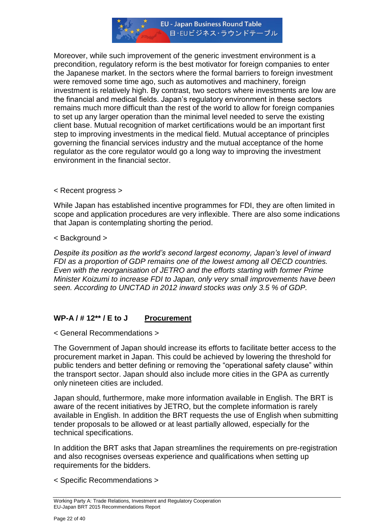

Moreover, while such improvement of the generic investment environment is a precondition, regulatory reform is the best motivator for foreign companies to enter the Japanese market. In the sectors where the formal barriers to foreign investment were removed some time ago, such as automotives and machinery, foreign investment is relatively high. By contrast, two sectors where investments are low are the financial and medical fields. Japan"s regulatory environment in these sectors remains much more difficult than the rest of the world to allow for foreign companies to set up any larger operation than the minimal level needed to serve the existing client base. Mutual recognition of market certifications would be an important first step to improving investments in the medical field. Mutual acceptance of principles governing the financial services industry and the mutual acceptance of the home regulator as the core regulator would go a long way to improving the investment environment in the financial sector.

< Recent progress >

While Japan has established incentive programmes for FDI, they are often limited in scope and application procedures are very inflexible. There are also some indications that Japan is contemplating shorting the period.

< Background >

*Despite its position as the world"s second largest economy, Japan"s level of inward FDI as a proportion of GDP remains one of the lowest among all OECD countries. Even with the reorganisation of JETRO and the efforts starting with former Prime Minister Koizumi to increase FDI to Japan, only very small improvements have been seen. According to UNCTAD in 2012 inward stocks was only 3.5 % of GDP.*

# **WP-A / # 12\*\* / E to J Procurement**

< General Recommendations >

The Government of Japan should increase its efforts to facilitate better access to the procurement market in Japan. This could be achieved by lowering the threshold for public tenders and better defining or removing the "operational safety clause" within the transport sector. Japan should also include more cities in the GPA as currently only nineteen cities are included.

Japan should, furthermore, make more information available in English. The BRT is aware of the recent initiatives by JETRO, but the complete information is rarely available in English. In addition the BRT requests the use of English when submitting tender proposals to be allowed or at least partially allowed, especially for the technical specifications.

In addition the BRT asks that Japan streamlines the requirements on pre-registration and also recognises overseas experience and qualifications when setting up requirements for the bidders.

< Specific Recommendations >

Working Party A: Trade Relations, Investment and Regulatory Cooperation EU-Japan BRT 2015 Recommendations Report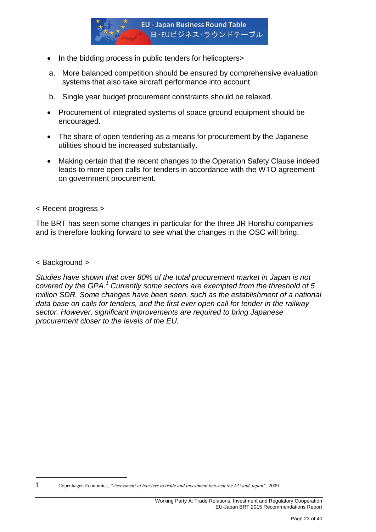

- In the bidding process in public tenders for helicopters>
- a. More balanced competition should be ensured by comprehensive evaluation systems that also take aircraft performance into account.
- b. Single year budget procurement constraints should be relaxed.
- Procurement of integrated systems of space ground equipment should be encouraged.
- The share of open tendering as a means for procurement by the Japanese utilities should be increased substantially.
- Making certain that the recent changes to the Operation Safety Clause indeed leads to more open calls for tenders in accordance with the WTO agreement on government procurement.

#### < Recent progress >

The BRT has seen some changes in particular for the three JR Honshu companies and is therefore looking forward to see what the changes in the OSC will bring.

#### < Background >

**.** 

*Studies have shown that over 80% of the total procurement market in Japan is not covered by the GPA.<sup>1</sup> Currently some sectors are exempted from the threshold of 5 million SDR. Some changes have been seen, such as the establishment of a national data base on calls for tenders, and the first ever open call for tender in the railway sector. However, significant improvements are required to bring Japanese procurement closer to the levels of the EU.*

<sup>1</sup> Copenhagen Economics, *"Assessment of barriers to trade and investment between the EU and Japan"*, 2009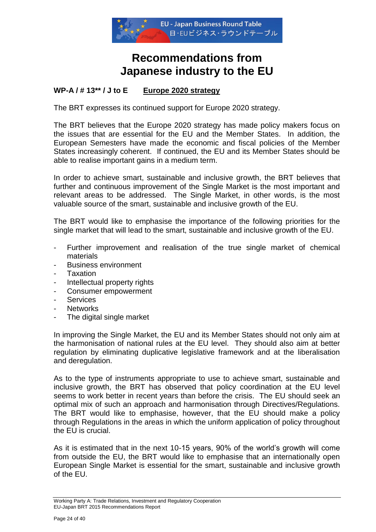

# **Recommendations from Japanese industry to the EU**

# **WP-A / # 13\*\* / J to E Europe 2020 strategy**

The BRT expresses its continued support for Europe 2020 strategy.

The BRT believes that the Europe 2020 strategy has made policy makers focus on the issues that are essential for the EU and the Member States. In addition, the European Semesters have made the economic and fiscal policies of the Member States increasingly coherent. If continued, the EU and its Member States should be able to realise important gains in a medium term.

In order to achieve smart, sustainable and inclusive growth, the BRT believes that further and continuous improvement of the Single Market is the most important and relevant areas to be addressed. The Single Market, in other words, is the most valuable source of the smart, sustainable and inclusive growth of the EU.

The BRT would like to emphasise the importance of the following priorities for the single market that will lead to the smart, sustainable and inclusive growth of the EU.

- Further improvement and realisation of the true single market of chemical materials
- Business environment
- **Taxation**
- Intellectual property rights
- Consumer empowerment
- **Services**
- **Networks**
- The digital single market

In improving the Single Market, the EU and its Member States should not only aim at the harmonisation of national rules at the EU level. They should also aim at better regulation by eliminating duplicative legislative framework and at the liberalisation and deregulation.

As to the type of instruments appropriate to use to achieve smart, sustainable and inclusive growth, the BRT has observed that policy coordination at the EU level seems to work better in recent years than before the crisis. The EU should seek an optimal mix of such an approach and harmonisation through Directives/Regulations. The BRT would like to emphasise, however, that the EU should make a policy through Regulations in the areas in which the uniform application of policy throughout the EU is crucial.

As it is estimated that in the next 10-15 years, 90% of the world"s growth will come from outside the EU, the BRT would like to emphasise that an internationally open European Single Market is essential for the smart, sustainable and inclusive growth of the EU.

Working Party A: Trade Relations, Investment and Regulatory Cooperation EU-Japan BRT 2015 Recommendations Report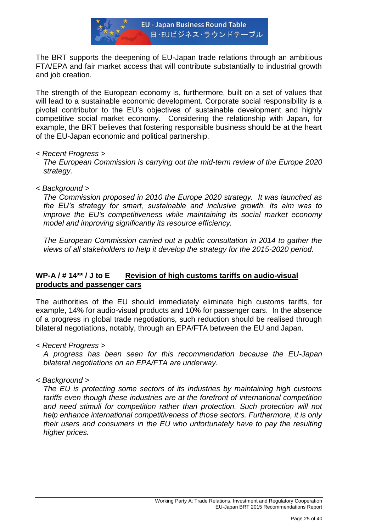

The BRT supports the deepening of EU-Japan trade relations through an ambitious FTA/EPA and fair market access that will contribute substantially to industrial growth and job creation.

The strength of the European economy is, furthermore, built on a set of values that will lead to a sustainable economic development. Corporate social responsibility is a pivotal contributor to the EU"s objectives of sustainable development and highly competitive social market economy. Considering the relationship with Japan, for example, the BRT believes that fostering responsible business should be at the heart of the EU-Japan economic and political partnership.

#### *< Recent Progress >*

*The European Commission is carrying out the mid-term review of the Europe 2020 strategy.*

*< Background >*

*The Commission proposed in 2010 the Europe 2020 strategy. It was launched as the EU"s strategy for smart, sustainable and inclusive growth. Its aim was to improve the EU's competitiveness while maintaining its social market economy model and improving significantly its resource efficiency.*

*The European Commission carried out a public consultation in 2014 to gather the views of all stakeholders to help it develop the strategy for the 2015-2020 period.*

# **WP-A / # 14\*\* / J to E Revision of high customs tariffs on audio-visual products and passenger cars**

The authorities of the EU should immediately eliminate high customs tariffs, for example, 14% for audio-visual products and 10% for passenger cars. In the absence of a progress in global trade negotiations, such reduction should be realised through bilateral negotiations, notably, through an EPA/FTA between the EU and Japan.

*< Recent Progress >*

*A progress has been seen for this recommendation because the EU-Japan bilateral negotiations on an EPA/FTA are underway.*

*< Background >*

*The EU is protecting some sectors of its industries by maintaining high customs tariffs even though these industries are at the forefront of international competition and need stimuli for competition rather than protection. Such protection will not help enhance international competitiveness of those sectors. Furthermore, it is only their users and consumers in the EU who unfortunately have to pay the resulting higher prices.*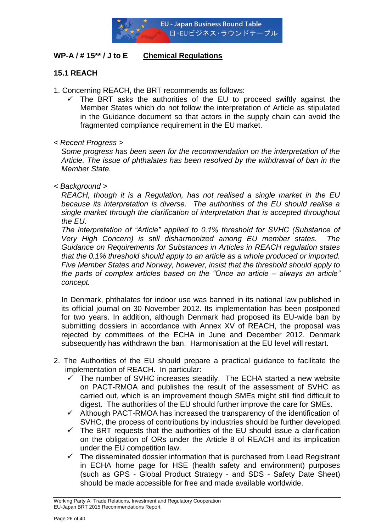

# **WP-A / # 15\*\* / J to E Chemical Regulations**

# **15.1 REACH**

- 1. Concerning REACH, the BRT recommends as follows:
	- $\checkmark$  The BRT asks the authorities of the EU to proceed swiftly against the Member States which do not follow the interpretation of Article as stipulated in the Guidance document so that actors in the supply chain can avoid the fragmented compliance requirement in the EU market.
- *< Recent Progress >*

*Some progress has been seen for the recommendation on the interpretation of the Article. The issue of phthalates has been resolved by the withdrawal of ban in the Member State.* 

*< Background >*

*REACH, though it is a Regulation, has not realised a single market in the EU because its interpretation is diverse. The authorities of the EU should realise a single market through the clarification of interpretation that is accepted throughout the EU.* 

*The interpretation of "Article" applied to 0.1% threshold for SVHC (Substance of Very High Concern) is still disharmonized among EU member states. The Guidance on Requirements for Substances in Articles in REACH regulation states that the 0.1% threshold should apply to an article as a whole produced or imported. Five Member States and Norway, however, insist that the threshold should apply to the parts of complex articles based on the "Once an article – always an article" concept.* 

In Denmark, phthalates for indoor use was banned in its national law published in its official journal on 30 November 2012. Its implementation has been postponed for two years. In addition, although Denmark had proposed its EU-wide ban by submitting dossiers in accordance with Annex XV of REACH, the proposal was rejected by committees of the ECHA in June and December 2012. Denmark subsequently has withdrawn the ban. Harmonisation at the EU level will restart.

- 2. The Authorities of the EU should prepare a practical guidance to facilitate the implementation of REACH. In particular:
	- The number of SVHC increases steadily. The ECHA started a new website on PACT-RMOA and publishes the result of the assessment of SVHC as carried out, which is an improvement though SMEs might still find difficult to digest. The authorities of the EU should further improve the care for SMEs.
	- $\checkmark$  Although PACT-RMOA has increased the transparency of the identification of SVHC, the process of contributions by industries should be further developed.
	- $\checkmark$  The BRT requests that the authorities of the EU should issue a clarification on the obligation of ORs under the Article 8 of REACH and its implication under the EU competition law.
	- $\checkmark$  The disseminated dossier information that is purchased from Lead Registrant in ECHA home page for HSE (health safety and environment) purposes (such as GPS - Global Product Strategy - and SDS - Safety Date Sheet) should be made accessible for free and made available worldwide.

Working Party A: Trade Relations, Investment and Regulatory Cooperation EU-Japan BRT 2015 Recommendations Report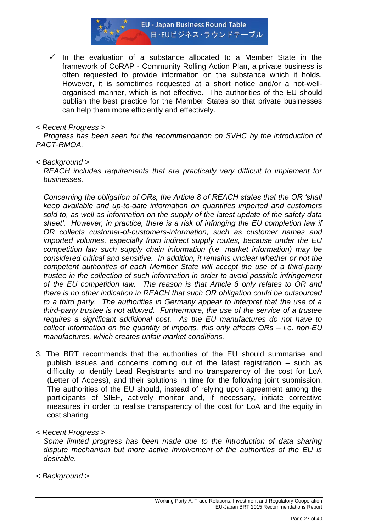

 $\checkmark$  In the evaluation of a substance allocated to a Member State in the framework of CoRAP - Community Rolling Action Plan, a private business is often requested to provide information on the substance which it holds. However, it is sometimes requested at a short notice and/or a not-wellorganised manner, which is not effective. The authorities of the EU should publish the best practice for the Member States so that private businesses can help them more efficiently and effectively.

#### *< Recent Progress >*

*Progress has been seen for the recommendation on SVHC by the introduction of PACT-RMOA.* 

#### *< Background >*

*REACH includes requirements that are practically very difficult to implement for businesses.* 

*Concerning the obligation of ORs, the Article 8 of REACH states that the OR "shall keep available and up-to-date information on quantities imported and customers sold to, as well as information on the supply of the latest update of the safety data*  sheet'. However, in practice, there is a risk of infringing the EU completion law if *OR collects customer-of-customers-information, such as customer names and imported volumes, especially from indirect supply routes, because under the EU competition law such supply chain information (i.e. market information) may be considered critical and sensitive. In addition, it remains unclear whether or not the competent authorities of each Member State will accept the use of a third-party trustee in the collection of such information in order to avoid possible infringement of the EU competition law. The reason is that Article 8 only relates to OR and there is no other indication in REACH that such OR obligation could be outsourced to a third party. The authorities in Germany appear to interpret that the use of a third-party trustee is not allowed. Furthermore, the use of the service of a trustee requires a significant additional cost. As the EU manufactures do not have to collect information on the quantity of imports, this only affects ORs – i.e. non-EU manufactures, which creates unfair market conditions.* 

- 3. The BRT recommends that the authorities of the EU should summarise and publish issues and concerns coming out of the latest registration – such as difficulty to identify Lead Registrants and no transparency of the cost for LoA (Letter of Access), and their solutions in time for the following joint submission. The authorities of the EU should, instead of relying upon agreement among the participants of SIEF, actively monitor and, if necessary, initiate corrective measures in order to realise transparency of the cost for LoA and the equity in cost sharing.
- *< Recent Progress >*

*Some limited progress has been made due to the introduction of data sharing dispute mechanism but more active involvement of the authorities of the EU is desirable.* 

*< Background >*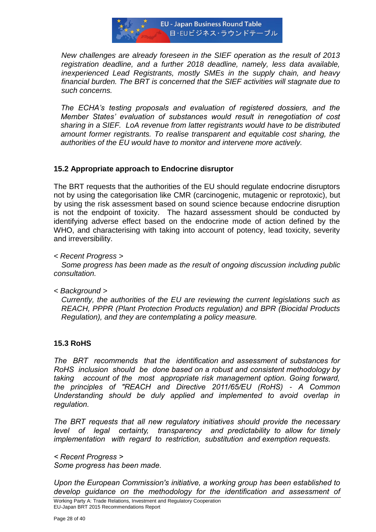

*New challenges are already foreseen in the SIEF operation as the result of 2013 registration deadline, and a further 2018 deadline, namely, less data available, inexperienced Lead Registrants, mostly SMEs in the supply chain, and heavy financial burden. The BRT is concerned that the SIEF activities will stagnate due to such concerns.*

*The ECHA"s testing proposals and evaluation of registered dossiers, and the Member States" evaluation of substances would result in renegotiation of cost sharing in a SIEF. LoA revenue from latter registrants would have to be distributed amount former registrants. To realise transparent and equitable cost sharing, the authorities of the EU would have to monitor and intervene more actively.*

# **15.2 Appropriate approach to Endocrine disruptor**

The BRT requests that the authorities of the EU should regulate endocrine disruptors not by using the categorisation like CMR (carcinogenic, mutagenic or reprotoxic), but by using the risk assessment based on sound science because endocrine disruption is not the endpoint of toxicity. The hazard assessment should be conducted by identifying adverse effect based on the endocrine mode of action defined by the WHO, and characterising with taking into account of potency, lead toxicity, severity and irreversibility.

*< Recent Progress >*

*Some progress has been made as the result of ongoing discussion including public consultation.* 

*< Background >*

*Currently, the authorities of the EU are reviewing the current legislations such as REACH, PPPR (Plant Protection Products regulation) and BPR (Biocidal Products Regulation), and they are contemplating a policy measure.*

## **15.3 RoHS**

*The BRT recommends that the identification and assessment of substances for RoHS inclusion should be done based on a robust and consistent methodology by taking account of the most appropriate risk management option. Going forward, the principles of "REACH and Directive 2011/65/EU (RoHS) - A Common Understanding should be duly applied and implemented to avoid overlap in regulation.*

*The BRT requests that all new regulatory initiatives should provide the necessary level of legal certainty, transparency and predictability to allow for timely implementation with regard to restriction, substitution and exemption requests.*

*< Recent Progress > Some progress has been made.* 

*Upon the European Commission's initiative, a working group has been established to develop guidance on the methodology for the identification and assessment of*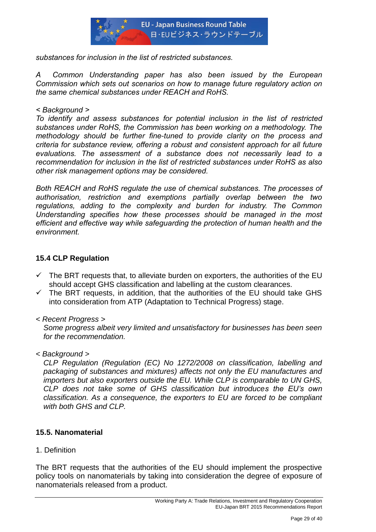

*substances for inclusion in the list of restricted substances.*

*A Common Understanding paper has also been issued by the European Commission which sets out scenarios on how to manage future regulatory action on the same chemical substances under REACH and RoHS.*

*< Background >*

*To identify and assess substances for potential inclusion in the list of restricted substances under RoHS, the Commission has been working on a methodology. The methodology should be further fine-tuned to provide clarity on the process and criteria for substance review, offering a robust and consistent approach for all future evaluations. The assessment of a substance does not necessarily lead to a recommendation for inclusion in the list of restricted substances under RoHS as also other risk management options may be considered.*

*Both REACH and RoHS regulate the use of chemical substances. The processes of authorisation, restriction and exemptions partially overlap between the two regulations, adding to the complexity and burden for industry. The Common Understanding specifies how these processes should be managed in the most efficient and effective way while safeguarding the protection of human health and the environment.*

# **15.4 CLP Regulation**

- $\checkmark$  The BRT requests that, to alleviate burden on exporters, the authorities of the EU should accept GHS classification and labelling at the custom clearances.
- $\checkmark$  The BRT requests, in addition, that the authorities of the EU should take GHS into consideration from ATP (Adaptation to Technical Progress) stage.
- *< Recent Progress >*

*Some progress albeit very limited and unsatisfactory for businesses has been seen for the recommendation.* 

*< Background >*

*CLP Regulation (Regulation (EC) No 1272/2008 on classification, labelling and packaging of substances and mixtures) affects not only the EU manufactures and importers but also exporters outside the EU. While CLP is comparable to UN GHS, CLP does not take some of GHS classification but introduces the EU"s own classification. As a consequence, the exporters to EU are forced to be compliant with both GHS and CLP.* 

# **15.5. Nanomaterial**

1. Definition

The BRT requests that the authorities of the EU should implement the prospective policy tools on nanomaterials by taking into consideration the degree of exposure of nanomaterials released from a product.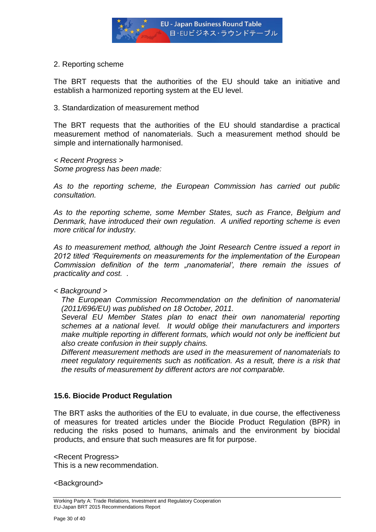

2. Reporting scheme

The BRT requests that the authorities of the EU should take an initiative and establish a harmonized reporting system at the EU level.

#### 3. Standardization of measurement method

The BRT requests that the authorities of the EU should standardise a practical measurement method of nanomaterials. Such a measurement method should be simple and internationally harmonised.

*< Recent Progress > Some progress has been made:*

*As to the reporting scheme, the European Commission has carried out public consultation.*

*As to the reporting scheme, some Member States, such as France, Belgium and Denmark, have introduced their own regulation. A unified reporting scheme is even more critical for industry.*

*As to measurement method, although the Joint Research Centre issued a report in 2012 titled "Requirements on measurements for the implementation of the European Commission definition of the term "nanomaterial", there remain the issues of practicality and cost. .* 

*< Background >*

*The European Commission Recommendation on the definition of nanomaterial (2011/696/EU) was published on 18 October, 2011.* 

*Several EU Member States plan to enact their own nanomaterial reporting schemes at a national level. It would oblige their manufacturers and importers make multiple reporting in different formats, which would not only be inefficient but also create confusion in their supply chains.* 

*Different measurement methods are used in the measurement of nanomaterials to meet regulatory requirements such as notification. As a result, there is a risk that the results of measurement by different actors are not comparable.* 

## **15.6. Biocide Product Regulation**

The BRT asks the authorities of the EU to evaluate, in due course, the effectiveness of measures for treated articles under the Biocide Product Regulation (BPR) in reducing the risks posed to humans, animals and the environment by biocidal products, and ensure that such measures are fit for purpose.

<Recent Progress> This is a new recommendation.

<Background>

Working Party A: Trade Relations, Investment and Regulatory Cooperation EU-Japan BRT 2015 Recommendations Report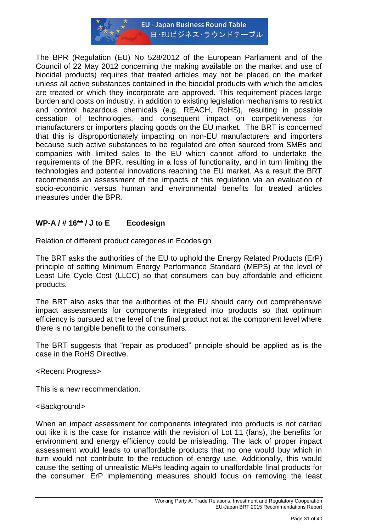

The BPR (Regulation (EU) No 528/2012 of the European Parliament and of the Council of 22 May 2012 concerning the making available on the market and use of biocidal products) requires that treated articles may not be placed on the market unless all active substances contained in the biocidal products with which the articles are treated or which they incorporate are approved. This requirement places large burden and costs on industry, in addition to existing legislation mechanisms to restrict and control hazardous chemicals (e.g. REACH, RoHS), resulting in possible cessation of technologies, and consequent impact on competitiveness for manufacturers or importers placing goods on the EU market. The BRT is concerned that this is disproportionately impacting on non-EU manufacturers and importers because such active substances to be regulated are often sourced from SMEs and companies with limited sales to the EU which cannot afford to undertake the requirements of the BPR, resulting in a loss of functionality, and in turn limiting the technologies and potential innovations reaching the EU market. As a result the BRT recommends an assessment of the impacts of this regulation via an evaluation of socio-economic versus human and environmental benefits for treated articles measures under the BPR.

# **WP-A / # 16\*\* / J to E Ecodesign**

Relation of different product categories in Ecodesign

The BRT asks the authorities of the EU to uphold the Energy Related Products (ErP) principle of setting Minimum Energy Performance Standard (MEPS) at the level of Least Life Cycle Cost (LLCC) so that consumers can buy affordable and efficient products.

The BRT also asks that the authorities of the EU should carry out comprehensive impact assessments for components integrated into products so that optimum efficiency is pursued at the level of the final product not at the component level where there is no tangible benefit to the consumers.

The BRT suggests that "repair as produced" principle should be applied as is the case in the RoHS Directive.

## <Recent Progress>

This is a new recommendation.

## <Background>

When an impact assessment for components integrated into products is not carried out like it is the case for instance with the revision of Lot 11 (fans), the benefits for environment and energy efficiency could be misleading. The lack of proper impact assessment would leads to unaffordable products that no one would buy which in turn would not contribute to the reduction of energy use. Additionally, this would cause the setting of unrealistic MEPs leading again to unaffordable final products for the consumer. ErP implementing measures should focus on removing the least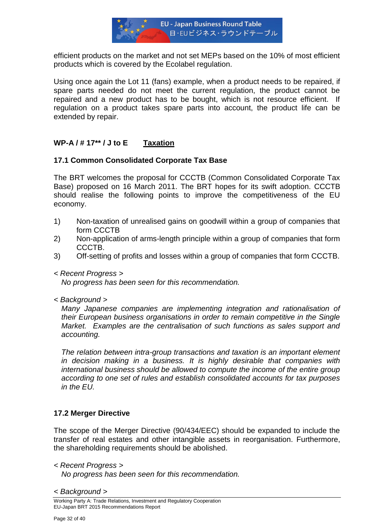

efficient products on the market and not set MEPs based on the 10% of most efficient products which is covered by the Ecolabel regulation.

Using once again the Lot 11 (fans) example, when a product needs to be repaired, if spare parts needed do not meet the current regulation, the product cannot be repaired and a new product has to be bought, which is not resource efficient. If regulation on a product takes spare parts into account, the product life can be extended by repair.

# **WP-A / # 17\*\* / J to E Taxation**

## **17.1 Common Consolidated Corporate Tax Base**

The BRT welcomes the proposal for CCCTB (Common Consolidated Corporate Tax Base) proposed on 16 March 2011. The BRT hopes for its swift adoption. CCCTB should realise the following points to improve the competitiveness of the EU economy.

- 1) Non-taxation of unrealised gains on goodwill within a group of companies that form CCCTB
- 2) Non-application of arms-length principle within a group of companies that form CCCTB.
- 3) Off-setting of profits and losses within a group of companies that form CCCTB.
- *< Recent Progress >*

*No progress has been seen for this recommendation.* 

*< Background >*

*Many Japanese companies are implementing integration and rationalisation of their European business organisations in order to remain competitive in the Single Market. Examples are the centralisation of such functions as sales support and accounting.* 

*The relation between intra-group transactions and taxation is an important element in decision making in a business. It is highly desirable that companies with international business should be allowed to compute the income of the entire group according to one set of rules and establish consolidated accounts for tax purposes in the EU.* 

## **17.2 Merger Directive**

The scope of the Merger Directive (90/434/EEC) should be expanded to include the transfer of real estates and other intangible assets in reorganisation. Furthermore, the shareholding requirements should be abolished.

*< Recent Progress >*

*No progress has been seen for this recommendation.* 

*< Background >*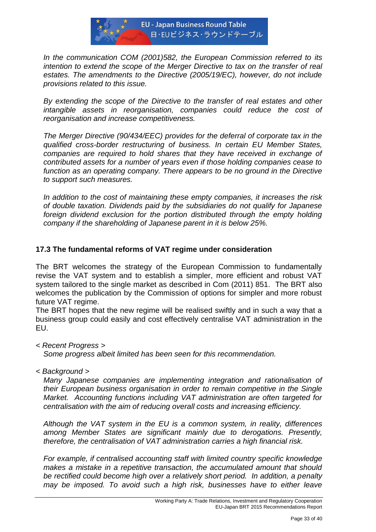

*In the communication COM (2001)582, the European Commission referred to its intention to extend the scope of the Merger Directive to tax on the transfer of real estates. The amendments to the Directive (2005/19/EC), however, do not include provisions related to this issue.* 

*By extending the scope of the Directive to the transfer of real estates and other intangible assets in reorganisation, companies could reduce the cost of reorganisation and increase competitiveness.* 

*The Merger Directive (90/434/EEC) provides for the deferral of corporate tax in the qualified cross-border restructuring of business. In certain EU Member States, companies are required to hold shares that they have received in exchange of contributed assets for a number of years even if those holding companies cease to function as an operating company. There appears to be no ground in the Directive to support such measures.*

*In addition to the cost of maintaining these empty companies, it increases the risk of double taxation. Dividends paid by the subsidiaries do not qualify for Japanese foreign dividend exclusion for the portion distributed through the empty holding company if the shareholding of Japanese parent in it is below 25%.* 

# **17.3 The fundamental reforms of VAT regime under consideration**

The BRT welcomes the strategy of the European Commission to fundamentally revise the VAT system and to establish a simpler, more efficient and robust VAT system tailored to the single market as described in Com (2011) 851. The BRT also welcomes the publication by the Commission of options for simpler and more robust future VAT regime.

The BRT hopes that the new regime will be realised swiftly and in such a way that a business group could easily and cost effectively centralise VAT administration in the EU.

*< Recent Progress >*

*Some progress albeit limited has been seen for this recommendation.* 

*< Background >*

*Many Japanese companies are implementing integration and rationalisation of their European business organisation in order to remain competitive in the Single Market. Accounting functions including VAT administration are often targeted for centralisation with the aim of reducing overall costs and increasing efficiency.*

*Although the VAT system in the EU is a common system, in reality, differences among Member States are significant mainly due to derogations. Presently, therefore, the centralisation of VAT administration carries a high financial risk.* 

*For example, if centralised accounting staff with limited country specific knowledge makes a mistake in a repetitive transaction, the accumulated amount that should be rectified could become high over a relatively short period. In addition, a penalty may be imposed. To avoid such a high risk, businesses have to either leave*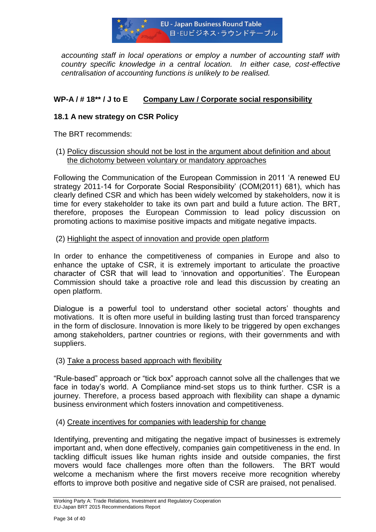

*accounting staff in local operations or employ a number of accounting staff with country specific knowledge in a central location. In either case, cost-effective centralisation of accounting functions is unlikely to be realised.*

# **WP-A / # 18\*\* / J to E Company Law / Corporate social responsibility**

# **18.1 A new strategy on CSR Policy**

The BRT recommends:

## (1) Policy discussion should not be lost in the argument about definition and about the dichotomy between voluntary or mandatory approaches

Following the Communication of the European Commission in 2011 "A renewed EU strategy 2011-14 for Corporate Social Responsibility" (COM(2011) 681), which has clearly defined CSR and which has been widely welcomed by stakeholders, now it is time for every stakeholder to take its own part and build a future action. The BRT, therefore, proposes the European Commission to lead policy discussion on promoting actions to maximise positive impacts and mitigate negative impacts.

## (2) Highlight the aspect of innovation and provide open platform

In order to enhance the competitiveness of companies in Europe and also to enhance the uptake of CSR, it is extremely important to articulate the proactive character of CSR that will lead to "innovation and opportunities". The European Commission should take a proactive role and lead this discussion by creating an open platform.

Dialogue is a powerful tool to understand other societal actors' thoughts and motivations. It is often more useful in building lasting trust than forced transparency in the form of disclosure. Innovation is more likely to be triggered by open exchanges among stakeholders, partner countries or regions, with their governments and with suppliers.

## (3) Take a process based approach with flexibility

"Rule-based" approach or "tick box" approach cannot solve all the challenges that we face in today"s world. A Compliance mind-set stops us to think further. CSR is a journey. Therefore, a process based approach with flexibility can shape a dynamic business environment which fosters innovation and competitiveness.

#### (4) Create incentives for companies with leadership for change

Identifying, preventing and mitigating the negative impact of businesses is extremely important and, when done effectively, companies gain competitiveness in the end. In tackling difficult issues like human rights inside and outside companies, the first movers would face challenges more often than the followers. The BRT would welcome a mechanism where the first movers receive more recognition whereby efforts to improve both positive and negative side of CSR are praised, not penalised.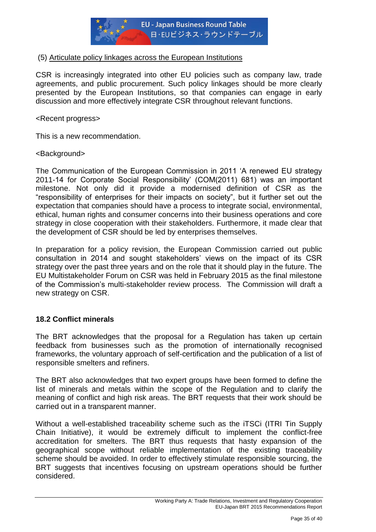

# (5) Articulate policy linkages across the European Institutions

CSR is increasingly integrated into other EU policies such as company law, trade agreements, and public procurement. Such policy linkages should be more clearly presented by the European Institutions, so that companies can engage in early discussion and more effectively integrate CSR throughout relevant functions.

<Recent progress>

This is a new recommendation.

#### <Background>

The Communication of the European Commission in 2011 "A renewed EU strategy 2011-14 for Corporate Social Responsibility" (COM(2011) 681) was an important milestone. Not only did it provide a modernised definition of CSR as the "responsibility of enterprises for their impacts on society", but it further set out the expectation that companies should have a process to integrate social, environmental, ethical, human rights and consumer concerns into their business operations and core strategy in close cooperation with their stakeholders. Furthermore, it made clear that the development of CSR should be led by enterprises themselves.

In preparation for a policy revision, the European Commission carried out public consultation in 2014 and sought stakeholders' views on the impact of its CSR strategy over the past three years and on the role that it should play in the future. The EU Multistakeholder Forum on CSR was held in February 2015 as the final milestone of the Commission"s multi-stakeholder review process. The Commission will draft a new strategy on CSR.

## **18.2 Conflict minerals**

The BRT acknowledges that the proposal for a Regulation has taken up certain feedback from businesses such as the promotion of internationally recognised frameworks, the voluntary approach of self-certification and the publication of a list of responsible smelters and refiners.

The BRT also acknowledges that two expert groups have been formed to define the list of minerals and metals within the scope of the Regulation and to clarify the meaning of conflict and high risk areas. The BRT requests that their work should be carried out in a transparent manner.

Without a well-established traceability scheme such as the iTSCi (ITRI Tin Supply Chain Initiative), it would be extremely difficult to implement the conflict-free accreditation for smelters. The BRT thus requests that hasty expansion of the geographical scope without reliable implementation of the existing traceability scheme should be avoided. In order to effectively stimulate responsible sourcing, the BRT suggests that incentives focusing on upstream operations should be further considered.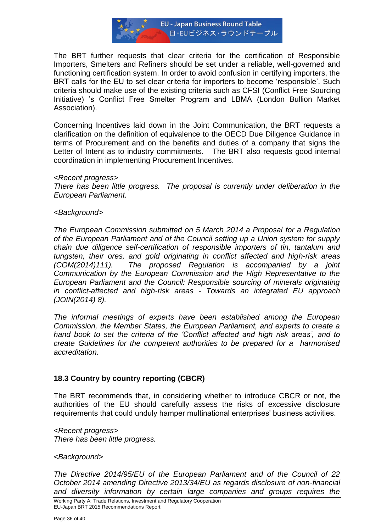

The BRT further requests that clear criteria for the certification of Responsible Importers, Smelters and Refiners should be set under a reliable, well-governed and functioning certification system. In order to avoid confusion in certifying importers, the BRT calls for the EU to set clear criteria for importers to become "responsible". Such criteria should make use of the existing criteria such as CFSI (Conflict Free Sourcing Initiative) "s Conflict Free Smelter Program and LBMA (London Bullion Market Association).

Concerning Incentives laid down in the Joint Communication, the BRT requests a clarification on the definition of equivalence to the OECD Due Diligence Guidance in terms of Procurement and on the benefits and duties of a company that signs the Letter of Intent as to industry commitments. The BRT also requests good internal coordination in implementing Procurement Incentives.

#### *<Recent progress>*

*There has been little progress. The proposal is currently under deliberation in the European Parliament.*

#### *<Background>*

*The European Commission submitted on 5 March 2014 a Proposal for a Regulation of the European Parliament and of the Council setting up a Union system for supply chain due diligence self-certification of responsible importers of tin, tantalum and tungsten, their ores, and gold originating in conflict affected and high-risk areas (COM(2014)111). The proposed Regulation is accompanied by a joint Communication by the European Commission and the High Representative to the European Parliament and the Council: Responsible sourcing of minerals originating in conflict-affected and high-risk areas - Towards an integrated EU approach (JOIN(2014) 8).* 

*The informal meetings of experts have been established among the European Commission, the Member States, the European Parliament, and experts to create a*  hand book to set the criteria of the 'Conflict affected and high risk areas', and to *create Guidelines for the competent authorities to be prepared for a harmonised accreditation.*

## **18.3 Country by country reporting (CBCR)**

The BRT recommends that, in considering whether to introduce CBCR or not, the authorities of the EU should carefully assess the risks of excessive disclosure requirements that could unduly hamper multinational enterprises" business activities.

*<Recent progress> There has been little progress.*

#### *<Background>*

*The Directive 2014/95/EU of the European Parliament and of the Council of 22 October 2014 amending Directive 2013/34/EU as regards disclosure of non-financial and diversity information by certain large companies and groups requires the*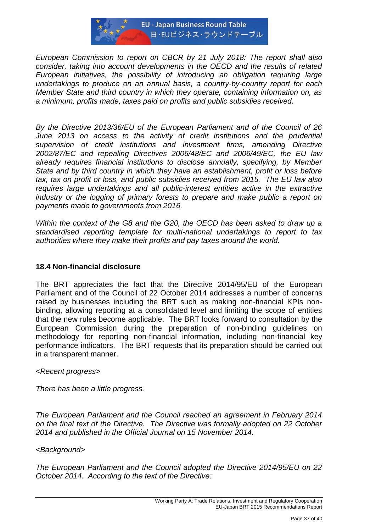

*European Commission to report on CBCR by 21 July 2018: The report shall also consider, taking into account developments in the OECD and the results of related European initiatives, the possibility of introducing an obligation requiring large undertakings to produce on an annual basis, a country-by-country report for each Member State and third country in which they operate, containing information on, as a minimum, profits made, taxes paid on profits and public subsidies received.*

*By the Directive 2013/36/EU of the European Parliament and of the Council of 26*  June 2013 on access to the activity of credit institutions and the prudential *supervision of credit institutions and investment firms, amending Directive 2002/87/EC and repealing Directives 2006/48/EC and 2006/49/EC, the EU law already requires financial institutions to disclose annually, specifying, by Member State and by third country in which they have an establishment, profit or loss before tax, tax on profit or loss, and public subsidies received from 2015. The EU law also requires large undertakings and all public-interest entities active in the extractive industry or the logging of primary forests to prepare and make public a report on payments made to governments from 2016.*

*Within the context of the G8 and the G20, the OECD has been asked to draw up a standardised reporting template for multi-national undertakings to report to tax authorities where they make their profits and pay taxes around the world.*

## **18.4 Non-financial disclosure**

The BRT appreciates the fact that the Directive 2014/95/EU of the European Parliament and of the Council of 22 October 2014 addresses a number of concerns raised by businesses including the BRT such as making non-financial KPIs nonbinding, allowing reporting at a consolidated level and limiting the scope of entities that the new rules become applicable. The BRT looks forward to consultation by the European Commission during the preparation of non-binding guidelines on methodology for reporting non-financial information, including non-financial key performance indicators. The BRT requests that its preparation should be carried out in a transparent manner.

## *<Recent progress>*

*There has been a little progress.*

*The European Parliament and the Council reached an agreement in February 2014 on the final text of the Directive. The Directive was formally adopted on 22 October 2014 and published in the Official Journal on 15 November 2014.*

## *<Background>*

*The European Parliament and the Council adopted the Directive 2014/95/EU on 22 October 2014. According to the text of the Directive:*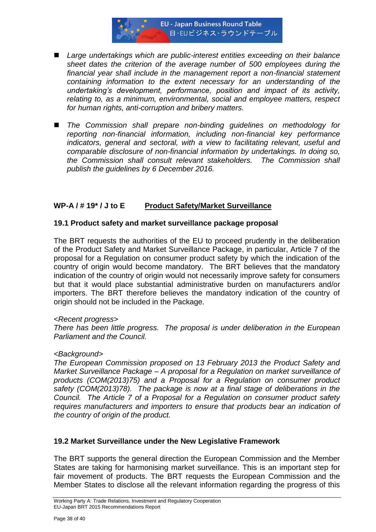

- Large undertakings which are public-interest entities exceeding on their balance *sheet dates the criterion of the average number of 500 employees during the financial year shall include in the management report a non-financial statement containing information to the extent necessary for an understanding of the undertaking"s development, performance, position and impact of its activity, relating to, as a minimum, environmental, social and employee matters, respect for human rights, anti-corruption and bribery matters.*
- *The Commission shall prepare non-binding guidelines on methodology for reporting non-financial information, including non-financial key performance indicators, general and sectoral, with a view to facilitating relevant, useful and comparable disclosure of non-financial information by undertakings. In doing so, the Commission shall consult relevant stakeholders. The Commission shall publish the guidelines by 6 December 2016.*

# **WP-A / # 19\* / J to E Product Safety/Market Surveillance**

#### **19.1 Product safety and market surveillance package proposal**

The BRT requests the authorities of the EU to proceed prudently in the deliberation of the Product Safety and Market Surveillance Package, in particular, Article 7 of the proposal for a Regulation on consumer product safety by which the indication of the country of origin would become mandatory. The BRT believes that the mandatory indication of the country of origin would not necessarily improve safety for consumers but that it would place substantial administrative burden on manufacturers and/or importers. The BRT therefore believes the mandatory indication of the country of origin should not be included in the Package.

#### *<Recent progress>*

*There has been little progress. The proposal is under deliberation in the European Parliament and the Council.*

#### *<Background>*

*The European Commission proposed on 13 February 2013 the Product Safety and Market Surveillance Package – A proposal for a Regulation on market surveillance of products (COM(2013)75) and a Proposal for a Regulation on consumer product safety (COM(2013)78). The package is now at a final stage of deliberations in the Council. The Article 7 of a Proposal for a Regulation on consumer product safety requires manufacturers and importers to ensure that products bear an indication of the country of origin of the product.*

## **19.2 Market Surveillance under the New Legislative Framework**

The BRT supports the general direction the European Commission and the Member States are taking for harmonising market surveillance. This is an important step for fair movement of products. The BRT requests the European Commission and the Member States to disclose all the relevant information regarding the progress of this

Working Party A: Trade Relations, Investment and Regulatory Cooperation EU-Japan BRT 2015 Recommendations Report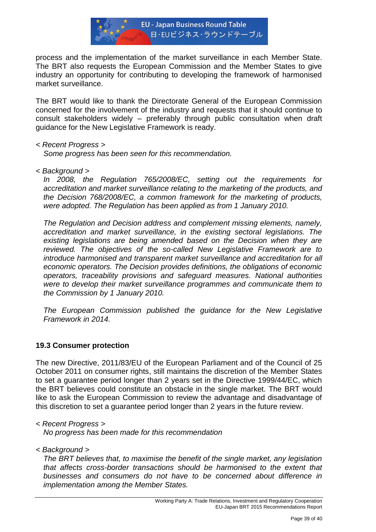

process and the implementation of the market surveillance in each Member State. The BRT also requests the European Commission and the Member States to give industry an opportunity for contributing to developing the framework of harmonised market surveillance.

The BRT would like to thank the Directorate General of the European Commission concerned for the involvement of the industry and requests that it should continue to consult stakeholders widely – preferably through public consultation when draft guidance for the New Legislative Framework is ready.

## *< Recent Progress >*

*Some progress has been seen for this recommendation.* 

*< Background >*

*In 2008, the Regulation 765/2008/EC, setting out the requirements for accreditation and market surveillance relating to the marketing of the products, and the Decision 768/2008/EC, a common framework for the marketing of products, were adopted. The Regulation has been applied as from 1 January 2010.* 

*The Regulation and Decision address and complement missing elements, namely, accreditation and market surveillance, in the existing sectoral legislations. The existing legislations are being amended based on the Decision when they are reviewed. The objectives of the so-called New Legislative Framework are to introduce harmonised and transparent market surveillance and accreditation for all economic operators. The Decision provides definitions, the obligations of economic operators, traceability provisions and safeguard measures. National authorities were to develop their market surveillance programmes and communicate them to the Commission by 1 January 2010.* 

*The European Commission published the guidance for the New Legislative Framework in 2014.* 

## **19.3 Consumer protection**

The new Directive, 2011/83/EU of the European Parliament and of the Council of 25 October 2011 on consumer rights, still maintains the discretion of the Member States to set a guarantee period longer than 2 years set in the Directive 1999/44/EC, which the BRT believes could constitute an obstacle in the single market. The BRT would like to ask the European Commission to review the advantage and disadvantage of this discretion to set a guarantee period longer than 2 years in the future review.

*< Recent Progress > No progress has been made for this recommendation* 

*< Background >*

*The BRT believes that, to maximise the benefit of the single market, any legislation that affects cross-border transactions should be harmonised to the extent that businesses and consumers do not have to be concerned about difference in implementation among the Member States.*